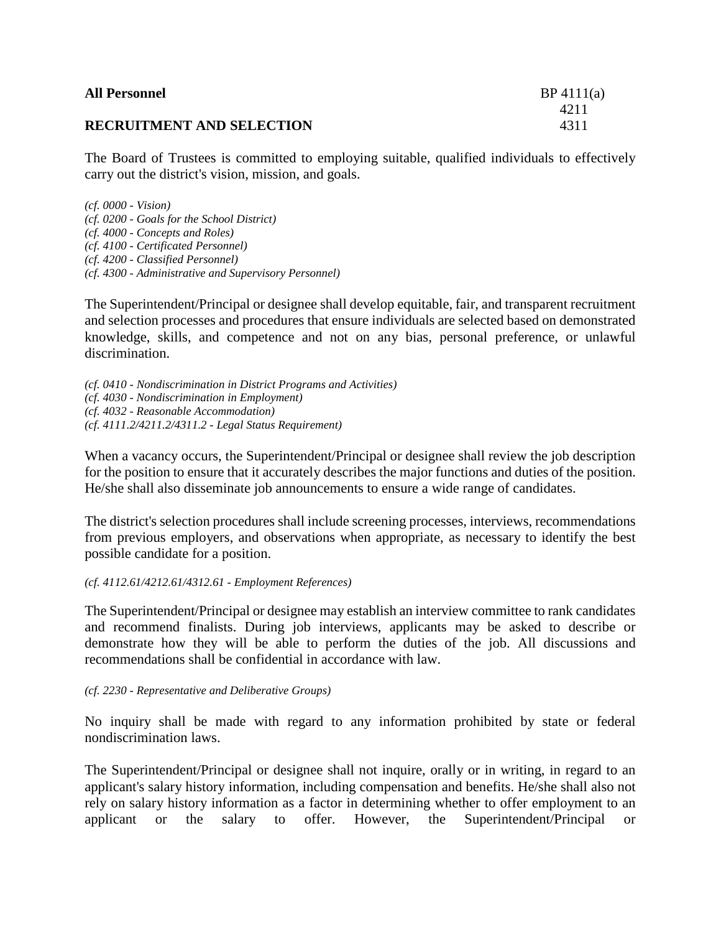| <b>All Personnel</b>             | BP 4111(a) |
|----------------------------------|------------|
|                                  | 4211       |
| <b>RECRUITMENT AND SELECTION</b> | 4311       |

The Board of Trustees is committed to employing suitable, qualified individuals to effectively carry out the district's vision, mission, and goals.

*(cf. 0000 - Vision) (cf. 0200 - Goals for the School District) (cf. 4000 - Concepts and Roles) (cf. 4100 - Certificated Personnel) (cf. 4200 - Classified Personnel) (cf. 4300 - Administrative and Supervisory Personnel)*

The Superintendent/Principal or designee shall develop equitable, fair, and transparent recruitment and selection processes and procedures that ensure individuals are selected based on demonstrated knowledge, skills, and competence and not on any bias, personal preference, or unlawful discrimination.

*(cf. 0410 - Nondiscrimination in District Programs and Activities) (cf. 4030 - Nondiscrimination in Employment) (cf. 4032 - Reasonable Accommodation) (cf. 4111.2/4211.2/4311.2 - Legal Status Requirement)*

When a vacancy occurs, the Superintendent/Principal or designee shall review the job description for the position to ensure that it accurately describes the major functions and duties of the position. He/she shall also disseminate job announcements to ensure a wide range of candidates.

The district's selection procedures shall include screening processes, interviews, recommendations from previous employers, and observations when appropriate, as necessary to identify the best possible candidate for a position.

*(cf. 4112.61/4212.61/4312.61 - Employment References)*

The Superintendent/Principal or designee may establish an interview committee to rank candidates and recommend finalists. During job interviews, applicants may be asked to describe or demonstrate how they will be able to perform the duties of the job. All discussions and recommendations shall be confidential in accordance with law.

*(cf. 2230 - Representative and Deliberative Groups)*

No inquiry shall be made with regard to any information prohibited by state or federal nondiscrimination laws.

The Superintendent/Principal or designee shall not inquire, orally or in writing, in regard to an applicant's salary history information, including compensation and benefits. He/she shall also not rely on salary history information as a factor in determining whether to offer employment to an applicant or the salary to offer. However, the Superintendent/Principal or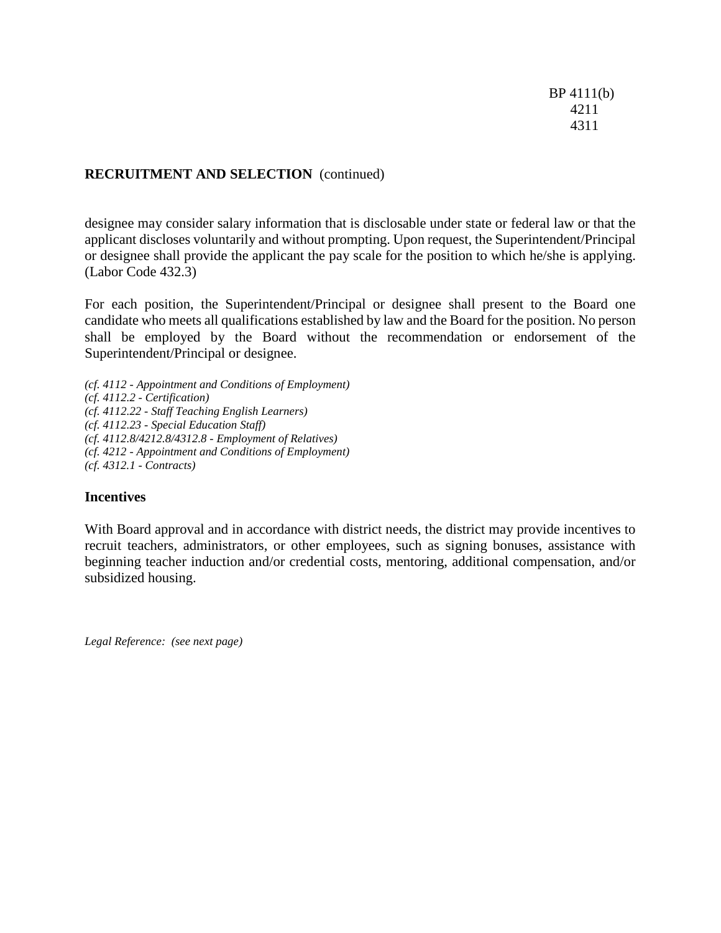BP 4111(b) 4211 4311

## **RECRUITMENT AND SELECTION** (continued)

designee may consider salary information that is disclosable under state or federal law or that the applicant discloses voluntarily and without prompting. Upon request, the Superintendent/Principal or designee shall provide the applicant the pay scale for the position to which he/she is applying. (Labor Code 432.3)

For each position, the Superintendent/Principal or designee shall present to the Board one candidate who meets all qualifications established by law and the Board for the position. No person shall be employed by the Board without the recommendation or endorsement of the Superintendent/Principal or designee.

*(cf. 4112 - Appointment and Conditions of Employment) (cf. 4112.2 - Certification) (cf. 4112.22 - Staff Teaching English Learners) (cf. 4112.23 - Special Education Staff) (cf. 4112.8/4212.8/4312.8 - Employment of Relatives) (cf. 4212 - Appointment and Conditions of Employment) (cf. 4312.1 - Contracts)*

## **Incentives**

With Board approval and in accordance with district needs, the district may provide incentives to recruit teachers, administrators, or other employees, such as signing bonuses, assistance with beginning teacher induction and/or credential costs, mentoring, additional compensation, and/or subsidized housing.

*Legal Reference: (see next page)*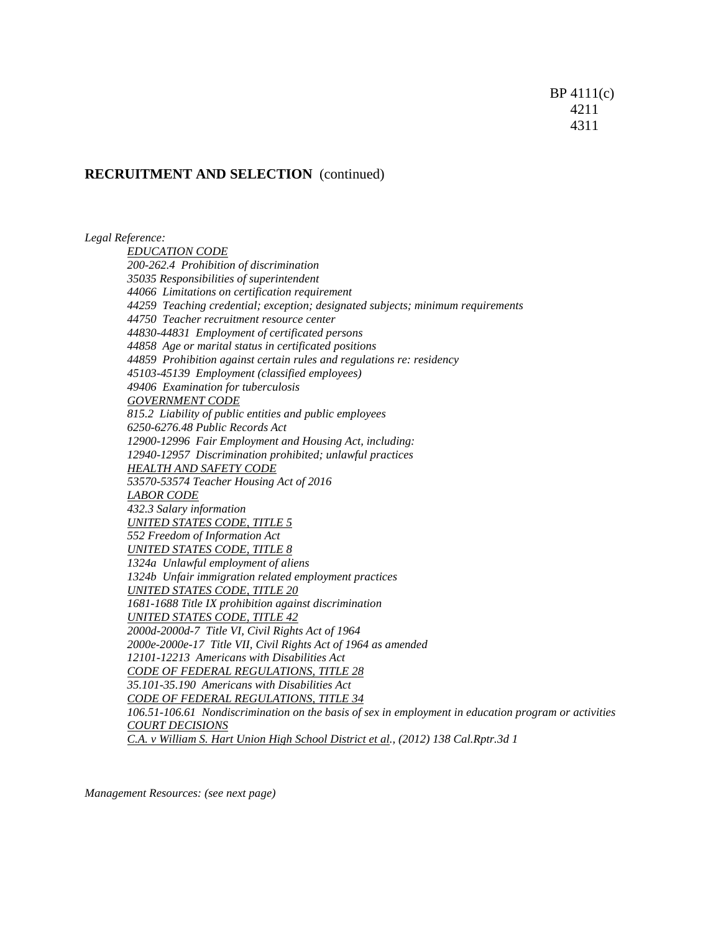## **RECRUITMENT AND SELECTION** (continued)

*Legal Reference: EDUCATION CODE 200-262.4 Prohibition of discrimination 35035 Responsibilities of superintendent 44066 Limitations on certification requirement 44259 Teaching credential; exception; designated subjects; minimum requirements 44750 Teacher recruitment resource center 44830-44831 Employment of certificated persons 44858 Age or marital status in certificated positions 44859 Prohibition against certain rules and regulations re: residency 45103-45139 Employment (classified employees) 49406 Examination for tuberculosis GOVERNMENT CODE 815.2 Liability of public entities and public employees 6250-6276.48 Public Records Act 12900-12996 Fair Employment and Housing Act, including: 12940-12957 Discrimination prohibited; unlawful practices HEALTH AND SAFETY CODE 53570-53574 Teacher Housing Act of 2016 LABOR CODE 432.3 Salary information UNITED STATES CODE, TITLE 5 552 Freedom of Information Act UNITED STATES CODE, TITLE 8 1324a Unlawful employment of aliens 1324b Unfair immigration related employment practices UNITED STATES CODE, TITLE 20 1681-1688 Title IX prohibition against discrimination UNITED STATES CODE, TITLE 42 2000d-2000d-7 Title VI, Civil Rights Act of 1964 2000e-2000e-17 Title VII, Civil Rights Act of 1964 as amended 12101-12213 Americans with Disabilities Act CODE OF FEDERAL REGULATIONS, TITLE 28 35.101-35.190 Americans with Disabilities Act CODE OF FEDERAL REGULATIONS, TITLE 34 106.51-106.61 Nondiscrimination on the basis of sex in employment in education program or activities COURT DECISIONS C.A. v William S. Hart Union High School District et al., (2012) 138 Cal.Rptr.3d 1*

*Management Resources: (see next page)*